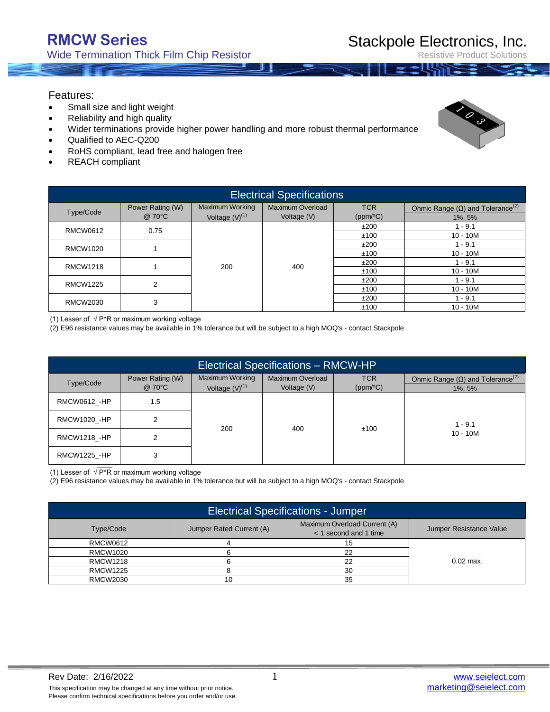Resistive Product Solutions

#### Features:

- Small size and light weight
- Reliability and high quality
- Wider terminations provide higher power handling and more robust thermal performance
- Qualified to AEC-Q200
- RoHS compliant, lead free and halogen free
- REACH compliant

| <b>Electrical Specifications</b> |                  |                        |                  |            |                                                       |  |  |  |
|----------------------------------|------------------|------------------------|------------------|------------|-------------------------------------------------------|--|--|--|
| Type/Code                        | Power Rating (W) | <b>Maximum Working</b> | Maximum Overload | <b>TCR</b> | Ohmic Range ( $\Omega$ ) and Tolerance <sup>(2)</sup> |  |  |  |
|                                  | @ 70°C           | Voltage $(V)^{(1)}$    | Voltage (V)      | (ppm/°C)   | 1%, 5%                                                |  |  |  |
| RMCW0612                         | 0.75             |                        |                  | ±200       | $1 - 9.1$                                             |  |  |  |
|                                  |                  |                        |                  | ±100       | $10 - 10M$                                            |  |  |  |
| RMCW1020                         |                  |                        |                  | ±200       | $1 - 9.1$                                             |  |  |  |
|                                  |                  |                        | 200<br>400       | ±100       | $10 - 10M$                                            |  |  |  |
| <b>RMCW1218</b>                  |                  |                        |                  | ±200       | $1 - 9.1$                                             |  |  |  |
|                                  |                  |                        |                  | ±100       | $10 - 10M$                                            |  |  |  |
| <b>RMCW1225</b>                  | $\overline{2}$   |                        |                  | ±200       | $1 - 9.1$                                             |  |  |  |
|                                  |                  |                        |                  | ±100       | $10 - 10M$                                            |  |  |  |
| RMCW2030                         | 3                |                        |                  | ±200       | $1 - 9.1$                                             |  |  |  |
|                                  |                  |                        |                  | ±100       | $10 - 10M$                                            |  |  |  |

(1) Lesser of  $\sqrt{P^*R}$  or maximum working voltage

(2) E96 resistance values may be available in 1% tolerance but will be subject to a high MOQ's - contact Stackpole

| <b>Electrical Specifications - RMCW-HP</b> |                            |                                        |                                 |                        |                                                                   |  |  |  |
|--------------------------------------------|----------------------------|----------------------------------------|---------------------------------|------------------------|-------------------------------------------------------------------|--|--|--|
| Type/Code                                  | Power Rating (W)<br>@ 70°C | Maximum Working<br>Voltage $(V)^{(1)}$ | Maximum Overload<br>Voltage (V) | <b>TCR</b><br>(ppm/°C) | Ohmic Range $(\Omega)$ and Tolerance <sup>(2)</sup><br>$1\%$ , 5% |  |  |  |
| <b>RMCW0612 -HP</b>                        | 1.5                        |                                        |                                 |                        |                                                                   |  |  |  |
| RMCW1020_-HP                               |                            |                                        |                                 |                        | $1 - 9.1$                                                         |  |  |  |
| <b>RMCW1218 -HP</b>                        |                            | 200                                    | 400                             | ±100                   | $10 - 10M$                                                        |  |  |  |
| <b>RMCW1225 -HP</b>                        | 3                          |                                        |                                 |                        |                                                                   |  |  |  |

(1) Lesser of  $\sqrt{P^*R}$  or maximum working voltage

(2) E96 resistance values may be available in 1% tolerance but will be subject to a high MOQ's - contact Stackpole

| <b>Electrical Specifications - Jumper</b> |                          |                                                       |                         |  |  |  |
|-------------------------------------------|--------------------------|-------------------------------------------------------|-------------------------|--|--|--|
| Type/Code                                 | Jumper Rated Current (A) | Maximum Overload Current (A)<br>< 1 second and 1 time | Jumper Resistance Value |  |  |  |
| RMCW0612                                  |                          |                                                       |                         |  |  |  |
| RMCW1020                                  |                          | າາ                                                    |                         |  |  |  |
| <b>RMCW1218</b>                           |                          | ົດ                                                    | $0.02$ max.             |  |  |  |
| <b>RMCW1225</b>                           |                          | 30                                                    |                         |  |  |  |
| RMCW2030                                  | 10                       | 35                                                    |                         |  |  |  |

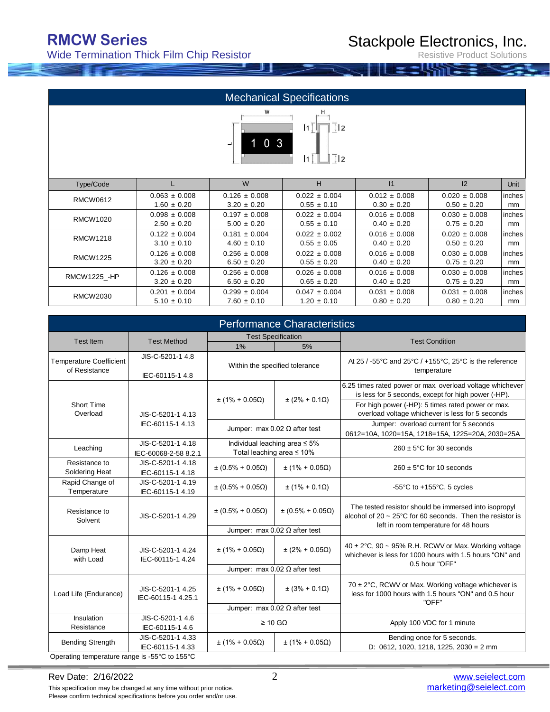Wide Termination Thick Film Chip Resistor

Resistive Product Solutions

|                                                                                           |                   |                   | <b>Mechanical Specifications</b> |                   |                   |        |  |  |
|-------------------------------------------------------------------------------------------|-------------------|-------------------|----------------------------------|-------------------|-------------------|--------|--|--|
| W<br>н<br>$\frac{1}{2}$<br>$\vert 1 \vert$<br>$103$<br>$\overline{\perp}$  2<br>$\vert$ 1 |                   |                   |                                  |                   |                   |        |  |  |
| Type/Code                                                                                 | L                 | W                 | H                                | 1                 | 12                | Unit   |  |  |
| <b>RMCW0612</b>                                                                           | $0.063 \pm 0.008$ | $0.126 \pm 0.008$ | $0.022 \pm 0.004$                | $0.012 \pm 0.008$ | $0.020 \pm 0.008$ | inches |  |  |
|                                                                                           | $1.60 \pm 0.20$   | $3.20 \pm 0.20$   | $0.55 \pm 0.10$                  | $0.30 \pm 0.20$   | $0.50 \pm 0.20$   | mm     |  |  |
| <b>RMCW1020</b>                                                                           | $0.098 \pm 0.008$ | $0.197 \pm 0.008$ | $0.022 \pm 0.004$                | $0.016 \pm 0.008$ | $0.030 \pm 0.008$ | inches |  |  |
|                                                                                           | $2.50 \pm 0.20$   | $5.00 \pm 0.20$   | $0.55 \pm 0.10$                  | $0.40 \pm 0.20$   | $0.75 \pm 0.20$   | mm     |  |  |
| <b>RMCW1218</b>                                                                           | $0.122 \pm 0.004$ | $0.181 \pm 0.004$ | $0.022 \pm 0.002$                | $0.016 \pm 0.008$ | $0.020 \pm 0.008$ | inches |  |  |
|                                                                                           | $3.10 \pm 0.10$   | $4.60 \pm 0.10$   | $0.55 \pm 0.05$                  | $0.40 \pm 0.20$   | $0.50 \pm 0.20$   | mm     |  |  |
| <b>RMCW1225</b>                                                                           | $0.126 \pm 0.008$ | $0.256 \pm 0.008$ | $0.022 \pm 0.008$                | $0.016 \pm 0.008$ | $0.030 \pm 0.008$ | inches |  |  |
|                                                                                           | $3.20 \pm 0.20$   | $6.50 \pm 0.20$   | $0.55 \pm 0.20$                  | $0.40 \pm 0.20$   | $0.75 \pm 0.20$   | mm     |  |  |
| RMCW1225_-HP                                                                              | $0.126 \pm 0.008$ | $0.256 \pm 0.008$ | $0.026 \pm 0.008$                | $0.016 \pm 0.008$ | $0.030 \pm 0.008$ | inches |  |  |
|                                                                                           | $3.20 \pm 0.20$   | $6.50 \pm 0.20$   | $0.65 \pm 0.20$                  | $0.40 \pm 0.20$   | $0.75 \pm 0.20$   | mm     |  |  |
| <b>RMCW2030</b>                                                                           | $0.201 \pm 0.004$ | $0.299 \pm 0.004$ | $0.047 \pm 0.004$                | $0.031 \pm 0.008$ | $0.031 \pm 0.008$ | inches |  |  |
|                                                                                           | $5.10 \pm 0.10$   | $7.60 \pm 0.10$   | $1.20 \pm 0.10$                  | $0.80 \pm 0.20$   | $0.80 \pm 0.20$   | mm     |  |  |

| <b>Performance Characteristics</b>              |                                           |                                                                  |                                      |                                                                                                                                                                  |  |  |  |  |
|-------------------------------------------------|-------------------------------------------|------------------------------------------------------------------|--------------------------------------|------------------------------------------------------------------------------------------------------------------------------------------------------------------|--|--|--|--|
|                                                 |                                           |                                                                  | <b>Test Specification</b>            |                                                                                                                                                                  |  |  |  |  |
| Test Item                                       | <b>Test Method</b>                        | 1%                                                               | 5%                                   | <b>Test Condition</b>                                                                                                                                            |  |  |  |  |
| <b>Temperature Coefficient</b><br>of Resistance | JIS-C-5201-1 4.8<br>IEC-60115-1 4.8       | Within the specified tolerance                                   |                                      | At 25 / -55°C and 25°C / +155°C, 25°C is the reference<br>temperature                                                                                            |  |  |  |  |
|                                                 |                                           | $\pm (1\% + 0.05\Omega)$                                         | $\pm (2\% + 0.1\Omega)$              | 6.25 times rated power or max. overload voltage whichever<br>is less for 5 seconds, except for high power (-HP).                                                 |  |  |  |  |
| Short Time<br>Overload                          | JIS-C-5201-1 4.13                         |                                                                  |                                      | For high power (-HP): 5 times rated power or max.<br>overload voltage whichever is less for 5 seconds                                                            |  |  |  |  |
|                                                 | IEC-60115-1 4.13                          |                                                                  | Jumper: max $0.02 \Omega$ after test | Jumper: overload current for 5 seconds<br>0612=10A, 1020=15A, 1218=15A, 1225=20A, 2030=25A                                                                       |  |  |  |  |
| Leaching                                        | JIS-C-5201-1 4.18<br>IEC-60068-2-58 8.2.1 | Individual leaching area ≤ 5%<br>Total leaching area $\leq 10\%$ |                                      | $260 \pm 5^{\circ}$ C for 30 seconds                                                                                                                             |  |  |  |  |
| Resistance to<br>Soldering Heat                 | JIS-C-5201-1 4.18<br>IEC-60115-1 4.18     | $\pm (0.5\% + 0.05\Omega)$                                       | $\pm (1\% + 0.05\Omega)$             | $260 \pm 5^{\circ}$ C for 10 seconds                                                                                                                             |  |  |  |  |
| Rapid Change of<br>Temperature                  | JIS-C-5201-1 4.19<br>IEC-60115-1 4.19     | $\pm (0.5\% + 0.05\Omega)$                                       | $\pm$ (1% + 0.1 $\Omega$ )           | -55 $\degree$ C to +155 $\degree$ C, 5 cycles                                                                                                                    |  |  |  |  |
| Resistance to<br>Solvent                        | JIS-C-5201-1 4.29                         | $\pm (0.5\% + 0.05\Omega)$                                       | $\pm (0.5\% + 0.05\Omega)$           | The tested resistor should be immersed into isopropyl<br>alcohol of 20 $\sim$ 25°C for 60 seconds. Then the resistor is<br>left in room temperature for 48 hours |  |  |  |  |
|                                                 |                                           |                                                                  | Jumper: $max 0.02 \Omega$ after test |                                                                                                                                                                  |  |  |  |  |
| Damp Heat<br>with Load                          | JIS-C-5201-1 4.24<br>IEC-60115-1 4.24     | $\pm (1\% + 0.05\Omega)$                                         | $\pm (2\% + 0.05\Omega)$             | 40 ± 2°C, 90 ~ 95% R.H. RCWV or Max. Working voltage<br>whichever is less for 1000 hours with 1.5 hours "ON" and<br>0.5 hour "OFF"                               |  |  |  |  |
|                                                 |                                           | Jumper: $max 0.02 \Omega$ after test                             |                                      |                                                                                                                                                                  |  |  |  |  |
| Load Life (Endurance)                           | JIS-C-5201-1 4.25<br>IEC-60115-1 4.25.1   | $\pm (1\% + 0.05\Omega)$                                         | $\pm (3\% + 0.1\Omega)$              | $70 \pm 2^{\circ}$ C, RCWV or Max. Working voltage whichever is<br>less for 1000 hours with 1.5 hours "ON" and 0.5 hour<br>"OFF"                                 |  |  |  |  |
|                                                 |                                           |                                                                  | Jumper: max $0.02 \Omega$ after test |                                                                                                                                                                  |  |  |  |  |
| Insulation<br>Resistance                        | JIS-C-5201-1 4.6<br>IEC-60115-1 4.6       |                                                                  | $\geq 10$ GΩ                         | Apply 100 VDC for 1 minute                                                                                                                                       |  |  |  |  |
| <b>Bending Strength</b>                         | JIS-C-5201-1 4.33<br>IEC-60115-1 4.33     | $\pm (1\% + 0.05\Omega)$                                         | $\pm (1\% + 0.05\Omega)$             | Bending once for 5 seconds.<br>D: 0612, 1020, 1218, 1225, 2030 = 2 mm                                                                                            |  |  |  |  |
| Operating temperature range is -55°C to 155°C   |                                           |                                                                  |                                      |                                                                                                                                                                  |  |  |  |  |

This specification may be changed at any time without prior notice. Please confirm technical specifications before you order and/or use.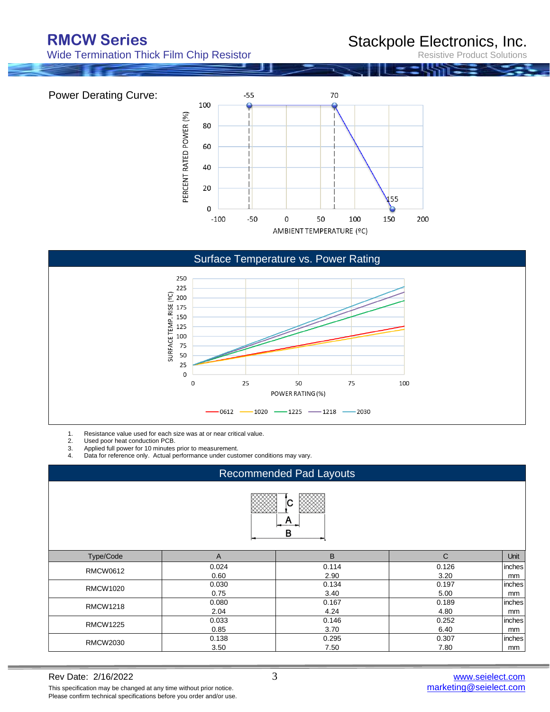Power Derating Curve:

Wide Termination Thick Film Chip Resistor

### Stackpole Electronics, Inc.

Resistive Product Solutions





1. Resistance value used for each size was at or near critical value.<br>2. Used poor heat conduction PCB.

2. Used poor heat conduction PCB.<br>3. Applied full power for 10 minutes

3. Applied full power for 10 minutes prior to measurement.

Data for reference only. Actual performance under customer conditions may vary.

| <b>Recommended Pad Layouts</b> |              |       |              |        |  |  |  |  |
|--------------------------------|--------------|-------|--------------|--------|--|--|--|--|
| A<br>в                         |              |       |              |        |  |  |  |  |
| Type/Code                      | $\mathsf{A}$ | B     | $\mathsf{C}$ | Unit   |  |  |  |  |
| <b>RMCW0612</b>                | 0.024        | 0.114 | 0.126        | inches |  |  |  |  |
|                                | 0.60         | 2.90  | 3.20         | mm     |  |  |  |  |
| <b>RMCW1020</b>                | 0.030        | 0.134 | 0.197        | inches |  |  |  |  |
|                                | 0.75         | 3.40  | 5.00         | mm     |  |  |  |  |
| <b>RMCW1218</b>                | 0.080        | 0.167 | 0.189        | inches |  |  |  |  |
|                                | 2.04         | 4.24  | 4.80         | mm     |  |  |  |  |
| <b>RMCW1225</b>                | 0.033        | 0.146 | 0.252        | inches |  |  |  |  |
|                                | 0.85         | 3.70  | 6.40         | mm     |  |  |  |  |
|                                | 0.138        | 0.295 | 0.307        | inches |  |  |  |  |
| <b>RMCW2030</b>                | 3.50         | 7.50  | 7.80         | mm     |  |  |  |  |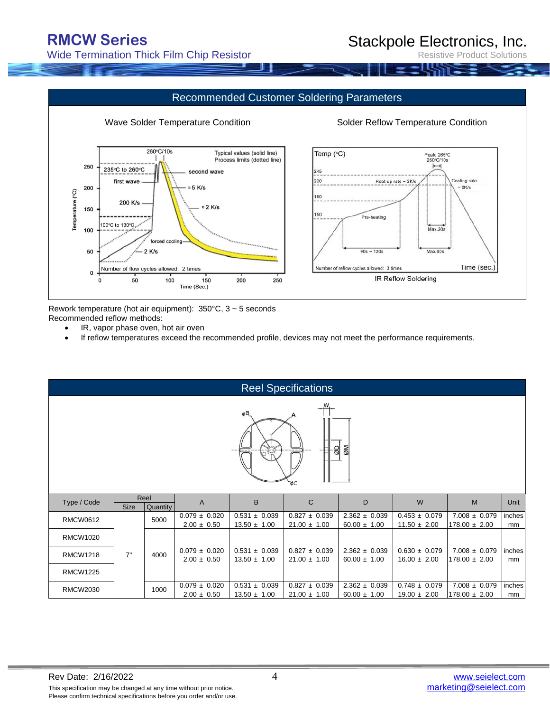Wide Termination Thick Film Chip Resistor

## Stackpole Electronics, Inc.

**Product Solutions** 



Rework temperature (hot air equipment): 350°C, 3 ~ 5 seconds

Recommended reflow methods:

- IR, vapor phase oven, hot air oven
- If reflow temperatures exceed the recommended profile, devices may not meet the performance requirements.

|                                                     | <b>Reel Specifications</b> |                  |                                      |                                       |                                       |                                       |                                       |                                        |              |
|-----------------------------------------------------|----------------------------|------------------|--------------------------------------|---------------------------------------|---------------------------------------|---------------------------------------|---------------------------------------|----------------------------------------|--------------|
| ø <sup>B</sup><br><b>ØM</b><br>ab.<br>$- - -$<br>ъC |                            |                  |                                      |                                       |                                       |                                       |                                       |                                        |              |
| Type / Code                                         | <b>Size</b>                | Reel<br>Quantity | $\overline{A}$                       | B                                     | $\mathsf{C}$                          | D                                     | W                                     | M                                      | Unit         |
| <b>RMCW0612</b>                                     |                            | 5000             | $0.079 \pm 0.020$<br>$2.00 \pm 0.50$ | $0.531 \pm 0.039$<br>$13.50 \pm 1.00$ | $0.827 \pm 0.039$<br>$21.00 \pm 1.00$ | $2.362 \pm 0.039$<br>$60.00 \pm 1.00$ | $0.453 \pm 0.079$<br>$11.50 \pm 2.00$ | $7.008 \pm 0.079$<br>$178.00 \pm 2.00$ | inches<br>mm |
| <b>RMCW1020</b>                                     |                            |                  |                                      |                                       |                                       |                                       |                                       |                                        |              |
| <b>RMCW1218</b>                                     | 7"                         | 4000             | $0.079 \pm 0.020$<br>$2.00 \pm 0.50$ | $0.531 \pm 0.039$<br>$13.50 \pm 1.00$ | $0.827 \pm 0.039$<br>$21.00 \pm 1.00$ | $2.362 \pm 0.039$<br>$60.00 \pm 1.00$ | $0.630 \pm 0.079$<br>$16.00 \pm 2.00$ | $7.008 \pm 0.079$<br>$178.00 \pm 2.00$ | inches<br>mm |
| <b>RMCW1225</b>                                     |                            |                  |                                      |                                       |                                       |                                       |                                       |                                        |              |
| <b>RMCW2030</b>                                     |                            | 1000             | $0.079 \pm 0.020$<br>$2.00 \pm 0.50$ | $0.531 \pm 0.039$<br>$13.50 \pm 1.00$ | $0.827 \pm 0.039$<br>$21.00 \pm 1.00$ | $2.362 \pm 0.039$<br>$60.00 \pm 1.00$ | $0.748 \pm 0.079$<br>$19.00 \pm 2.00$ | $7.008 \pm 0.079$<br>$178.00 \pm 2.00$ | inches<br>mm |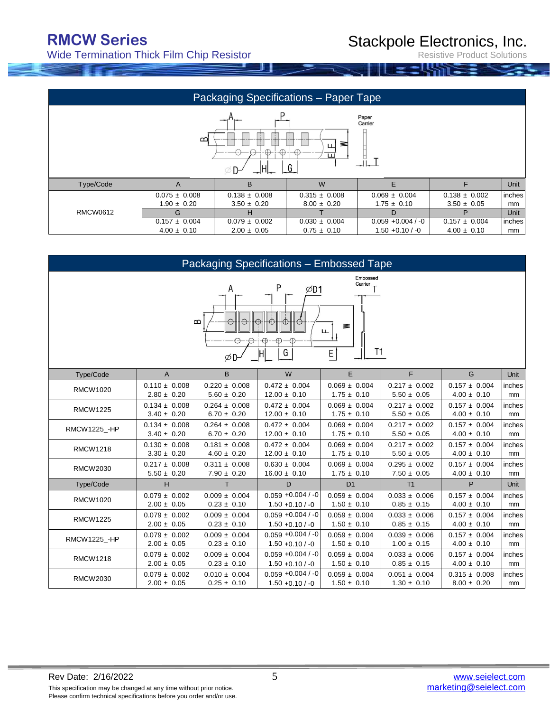Wide Termination Thick Film Chip Resistor

Resistive Product Solutions

| Packaging Specifications - Paper Tape                                                                  |                                                                                   |                                                                              |                                                                                          |                                                                                   |                                      |  |  |  |
|--------------------------------------------------------------------------------------------------------|-----------------------------------------------------------------------------------|------------------------------------------------------------------------------|------------------------------------------------------------------------------------------|-----------------------------------------------------------------------------------|--------------------------------------|--|--|--|
| Paper<br>Carrier<br>$\mathbf{C}$<br>≋<br>ப<br>$\leftrightarrow$<br>$\leftrightarrow$<br>ш<br>$-G$<br>ᆊ |                                                                                   |                                                                              |                                                                                          |                                                                                   |                                      |  |  |  |
| $\overline{A}$                                                                                         | B                                                                                 | W                                                                            | F                                                                                        | F                                                                                 | Unit                                 |  |  |  |
| $0.075 \pm 0.008$<br>$1.90 \pm 0.20$<br>G<br>$0.157 \pm 0.004$<br>$4.00 \pm 0.10$                      | $0.138 \pm 0.008$<br>$3.50 \pm 0.20$<br>н<br>$0.079 \pm 0.002$<br>$2.00 \pm 0.05$ | $0.315 \pm 0.008$<br>$8.00 \pm 0.20$<br>$0.030 \pm 0.004$<br>$0.75 \pm 0.10$ | $0.069 \pm 0.004$<br>$1.75 \pm 0.10$<br>D.<br>$0.059 + 0.004 / -0$<br>$1.50 + 0.10 / -0$ | $0.138 \pm 0.002$<br>$3.50 \pm 0.05$<br>P<br>$0.157 \pm 0.004$<br>$4.00 \pm 0.10$ | inches<br>mm<br>Unit<br>inches<br>mm |  |  |  |
|                                                                                                        |                                                                                   |                                                                              |                                                                                          |                                                                                   |                                      |  |  |  |

|                                                                                         | Packaging Specifications - Embossed Tape |                   |                      |                   |                   |                   |        |  |
|-----------------------------------------------------------------------------------------|------------------------------------------|-------------------|----------------------|-------------------|-------------------|-------------------|--------|--|
| Embossed<br>Carrier<br>Ρ<br>Α<br>ØD1<br>B<br>₹<br>ш.<br>T1<br>E <sub>1</sub><br>G<br>ØD |                                          |                   |                      |                   |                   |                   |        |  |
| Type/Code                                                                               | $\overline{A}$                           | B                 | W                    | E                 | F.                | G                 | Unit   |  |
| <b>RMCW1020</b>                                                                         | $0.110 \pm 0.008$                        | $0.220 \pm 0.008$ | $0.472 \pm 0.004$    | $0.069 \pm 0.004$ | $0.217 \pm 0.002$ | $0.157 \pm 0.004$ | inches |  |
|                                                                                         | $2.80 \pm 0.20$                          | $5.60 \pm 0.20$   | $12.00 \pm 0.10$     | $1.75 \pm 0.10$   | $5.50 \pm 0.05$   | $4.00 \pm 0.10$   | mm     |  |
| <b>RMCW1225</b>                                                                         | $0.134 \pm 0.008$                        | $0.264 \pm 0.008$ | $0.472 \pm 0.004$    | $0.069 \pm 0.004$ | $0.217 \pm 0.002$ | $0.157 \pm 0.004$ | inches |  |
|                                                                                         | $3.40 \pm 0.20$                          | $6.70 \pm 0.20$   | $12.00 \pm 0.10$     | $1.75 \pm 0.10$   | $5.50 \pm 0.05$   | $4.00 \pm 0.10$   | mm     |  |
| <b>RMCW1225 - HP</b>                                                                    | $0.134 \pm 0.008$                        | $0.264 \pm 0.008$ | $0.472 \pm 0.004$    | $0.069 \pm 0.004$ | $0.217 \pm 0.002$ | $0.157 \pm 0.004$ | inches |  |
|                                                                                         | $3.40 \pm 0.20$                          | $6.70 \pm 0.20$   | $12.00 \pm 0.10$     | $1.75 \pm 0.10$   | $5.50 \pm 0.05$   | $4.00 \pm 0.10$   | mm     |  |
| <b>RMCW1218</b>                                                                         | $0.130 \pm 0.008$                        | $0.181 \pm 0.008$ | $0.472 \pm 0.004$    | $0.069 \pm 0.004$ | $0.217 \pm 0.002$ | $0.157 \pm 0.004$ | inches |  |
|                                                                                         | $3.30 \pm 0.20$                          | $4.60 \pm 0.20$   | $12.00 \pm 0.10$     | $1.75 \pm 0.10$   | $5.50 \pm 0.05$   | $4.00 \pm 0.10$   | mm     |  |
| <b>RMCW2030</b>                                                                         | $0.217 \pm 0.008$                        | $0.311 \pm 0.008$ | $0.630 \pm 0.004$    | $0.069 \pm 0.004$ | $0.295 \pm 0.002$ | $0.157 \pm 0.004$ | inches |  |
|                                                                                         | $5.50 \pm 0.20$                          | $7.90 \pm 0.20$   | $16.00 \pm 0.10$     | $1.75 \pm 0.10$   | $7.50 \pm 0.05$   | $4.00 \pm 0.10$   | mm     |  |
| Type/Code                                                                               | H                                        | T.                | D                    | D <sub>1</sub>    | T1                | P                 | Unit   |  |
| <b>RMCW1020</b>                                                                         | $0.079 \pm 0.002$                        | $0.009 \pm 0.004$ | $0.059 + 0.004 / -0$ | $0.059 \pm 0.004$ | $0.033 \pm 0.006$ | $0.157 \pm 0.004$ | inches |  |
|                                                                                         | $2.00 \pm 0.05$                          | $0.23 \pm 0.10$   | $1.50 + 0.10 / -0$   | $1.50 \pm 0.10$   | $0.85 \pm 0.15$   | $4.00 \pm 0.10$   | mm     |  |
| <b>RMCW1225</b>                                                                         | $0.079 \pm 0.002$                        | $0.009 \pm 0.004$ | $0.059 + 0.004 / -0$ | $0.059 \pm 0.004$ | $0.033 \pm 0.006$ | $0.157 \pm 0.004$ | inches |  |
|                                                                                         | $2.00 \pm 0.05$                          | $0.23 \pm 0.10$   | $1.50 + 0.10 / -0$   | $1.50 \pm 0.10$   | $0.85 \pm 0.15$   | $4.00 \pm 0.10$   | mm     |  |
| RMCW1225_-HP                                                                            | $0.079 \pm 0.002$                        | $0.009 \pm 0.004$ | $0.059 + 0.004 / -0$ | $0.059 \pm 0.004$ | $0.039 \pm 0.006$ | $0.157 \pm 0.004$ | inches |  |
|                                                                                         | $2.00 \pm 0.05$                          | $0.23 \pm 0.10$   | $1.50 + 0.10 / -0$   | $1.50 \pm 0.10$   | $1.00 \pm 0.15$   | $4.00 \pm 0.10$   | mm     |  |
| <b>RMCW1218</b>                                                                         | $0.079 \pm 0.002$                        | $0.009 \pm 0.004$ | $0.059 + 0.004 / -0$ | $0.059 \pm 0.004$ | $0.033 \pm 0.006$ | $0.157 \pm 0.004$ | inches |  |
|                                                                                         | $2.00 \pm 0.05$                          | $0.23 \pm 0.10$   | $1.50 + 0.10 / -0$   | $1.50 \pm 0.10$   | $0.85 \pm 0.15$   | $4.00 \pm 0.10$   | mm     |  |
| <b>RMCW2030</b>                                                                         | $0.079 \pm 0.002$                        | $0.010 \pm 0.004$ | $0.059 + 0.004 / -0$ | $0.059 \pm 0.004$ | $0.051 \pm 0.004$ | $0.315 \pm 0.008$ | inches |  |
|                                                                                         | $2.00 \pm 0.05$                          | $0.25 \pm 0.10$   | $1.50 + 0.10 / -0$   | $1.50 \pm 0.10$   | $1.30 \pm 0.10$   | $8.00 \pm 0.20$   | mm     |  |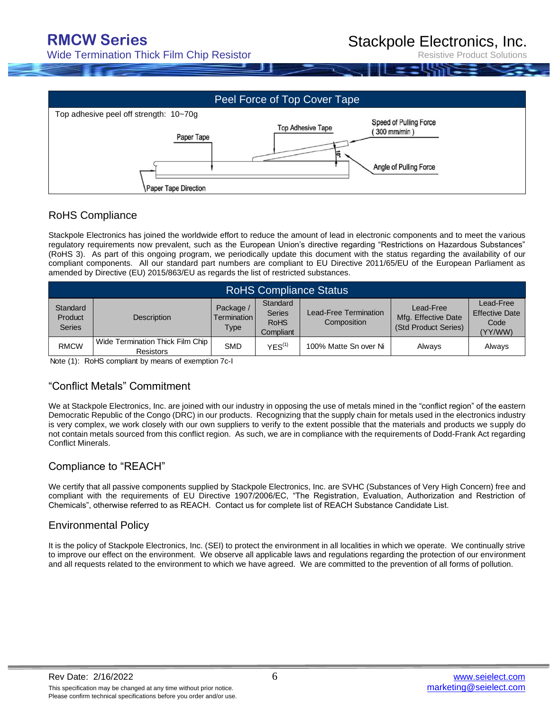Stackpole Electronics, Inc.

Wide Termination Thick Film Chip Resistor

Resistive Product Solutions



#### RoHS Compliance

Stackpole Electronics has joined the worldwide effort to reduce the amount of lead in electronic components and to meet the various regulatory requirements now prevalent, such as the European Union's directive regarding "Restrictions on Hazardous Substances" (RoHS 3). As part of this ongoing program, we periodically update this document with the status regarding the availability of our compliant components. All our standard part numbers are compliant to EU Directive 2011/65/EU of the European Parliament as amended by Directive (EU) 2015/863/EU as regards the list of restricted substances.

| <b>RoHS Compliance Status</b>        |                                                        |                                         |                                                       |                                      |                                                          |                                                       |  |  |
|--------------------------------------|--------------------------------------------------------|-----------------------------------------|-------------------------------------------------------|--------------------------------------|----------------------------------------------------------|-------------------------------------------------------|--|--|
| Standard<br>Product<br><b>Series</b> | <b>Description</b>                                     | Package /<br><b>Termination</b><br>Type | Standard<br><b>Series</b><br><b>RoHS</b><br>Compliant | Lead-Free Termination<br>Composition | Lead-Free<br>Mfg. Effective Date<br>(Std Product Series) | Lead-Free<br><b>Effective Date</b><br>Code<br>(YY/WW) |  |  |
| <b>RMCW</b>                          | Wide Termination Thick Film Chip I<br><b>Resistors</b> | <b>SMD</b>                              | YES <sup>(1)</sup>                                    | 100% Matte Sn over Ni                | Alwavs                                                   | <b>Alwavs</b>                                         |  |  |

Note (1): RoHS compliant by means of exemption 7c-I

### "Conflict Metals" Commitment

We at Stackpole Electronics, Inc. are joined with our industry in opposing the use of metals mined in the "conflict region" of the eastern Democratic Republic of the Congo (DRC) in our products. Recognizing that the supply chain for metals used in the electronics industry is very complex, we work closely with our own suppliers to verify to the extent possible that the materials and products we supply do not contain metals sourced from this conflict region. As such, we are in compliance with the requirements of Dodd-Frank Act regarding Conflict Minerals.

### Compliance to "REACH"

We certify that all passive components supplied by Stackpole Electronics, Inc. are SVHC (Substances of Very High Concern) free and compliant with the requirements of EU Directive 1907/2006/EC, "The Registration, Evaluation, Authorization and Restriction of Chemicals", otherwise referred to as REACH. Contact us for complete list of REACH Substance Candidate List.

### Environmental Policy

It is the policy of Stackpole Electronics, Inc. (SEI) to protect the environment in all localities in which we operate. We continually strive to improve our effect on the environment. We observe all applicable laws and regulations regarding the protection of our environment and all requests related to the environment to which we have agreed. We are committed to the prevention of all forms of pollution.